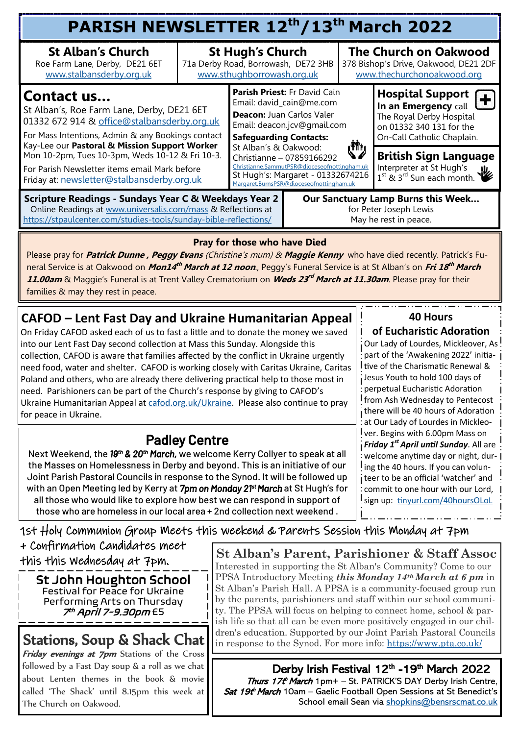| PARISH NEWSLETTER 12th/13th March 2022                                                                                                                                                                        |                                                                                              |                                                                                                                                                                                                                                                                                                                                                      |  |                                                                                                                                                                                                                                                                                                                                                                                         |                                                                                                                                                                   |  |  |  |  |
|---------------------------------------------------------------------------------------------------------------------------------------------------------------------------------------------------------------|----------------------------------------------------------------------------------------------|------------------------------------------------------------------------------------------------------------------------------------------------------------------------------------------------------------------------------------------------------------------------------------------------------------------------------------------------------|--|-----------------------------------------------------------------------------------------------------------------------------------------------------------------------------------------------------------------------------------------------------------------------------------------------------------------------------------------------------------------------------------------|-------------------------------------------------------------------------------------------------------------------------------------------------------------------|--|--|--|--|
| <b>St Alban's Church</b><br>Roe Farm Lane, Derby, DE21 6ET<br>www.stalbansderby.org.uk                                                                                                                        | <b>St Hugh's Church</b><br>71a Derby Road, Borrowash, DE72 3HB<br>www.sthughborrowash.org.uk |                                                                                                                                                                                                                                                                                                                                                      |  | <b>The Church on Oakwood</b><br>378 Bishop's Drive, Oakwood, DE21 2DF<br>www.thechurchonoakwood.org                                                                                                                                                                                                                                                                                     |                                                                                                                                                                   |  |  |  |  |
| Contact us<br>St Alban's, Roe Farm Lane, Derby, DE21 6ET<br>01332 672 914 & office@stalbansderby.org.uk<br>For Mass Intentions, Admin & any Bookings contact<br>Kay-Lee our Pastoral & Mission Support Worker |                                                                                              | Parish Priest: Fr David Cain<br>Email: david_cain@me.com<br>Deacon: Juan Carlos Valer<br>Email: deacon.jcv@gmail.com<br><b>Safeguarding Contacts:</b><br>رژأي<br>St Alban's & Oakwood:<br>Christianne - 07859166292<br>Christianne.SammutPSR@dioceseofnottingham.uk<br>St Hugh's: Margaret - 01332674216<br>Margaret.BurnsPSR@dioceseofnottingham.uk |  |                                                                                                                                                                                                                                                                                                                                                                                         | <b>Hospital Support</b><br>$\overline{\phantom{a}}$<br>In an Emergency call<br>The Royal Derby Hospital<br>on 01332 340 131 for the<br>On-Call Catholic Chaplain. |  |  |  |  |
| Mon 10-2pm, Tues 10-3pm, Weds 10-12 & Fri 10-3.<br>For Parish Newsletter items email Mark before<br>Friday at: newsletter@stalbansderby.org.uk                                                                |                                                                                              |                                                                                                                                                                                                                                                                                                                                                      |  | <b>British Sign Language</b><br>Interpreter at St Hugh's<br>$\frac{1}{1}$ st $\frac{1}{2}$ st $\frac{1}{3}$ st $\frac{1}{3}$ st $\frac{1}{3}$ st $\frac{1}{3}$ st $\frac{1}{3}$ st $\frac{1}{3}$ st $\frac{1}{3}$ st $\frac{1}{3}$ st $\frac{1}{3}$ st $\frac{1}{3}$ st $\frac{1}{3}$ st $\frac{1}{3}$ st $\frac{1}{3}$ st $\frac{1}{3}$ st $\frac{1}{3}$ st $\frac{1}{3}$ st $\frac{1$ |                                                                                                                                                                   |  |  |  |  |
| <b>Scripture Readings - Sundays Year C &amp; Weekdays Year 2</b><br>Online Readings at www.universalis.com/mass & Reflections at<br>https://stpaulcenter.com/studies-tools/sunday-bible-reflections/          |                                                                                              | <b>Our Sanctuary Lamp Burns this Week</b><br>for Peter Joseph Lewis<br>May he rest in peace.                                                                                                                                                                                                                                                         |  |                                                                                                                                                                                                                                                                                                                                                                                         |                                                                                                                                                                   |  |  |  |  |

#### **Pray for those who have Died**

Please pray for **Patrick Dunne , Peggy Evans** (Christine's mum) & **Maggie Kenny** who have died recently. Patrick's Fu**heral Service is at Oakwood on** *Mon14<sup>th</sup> March at 12 noon.***, Peggy's Funeral Service is at St Alban's on** *Fri 18<sup>th</sup> March* **11.00am** & Maggie's Funeral is at Trent Valley Crematorium on **Weds 23 rd March at 11.30am**. Please pray for their families & may they rest in peace.

### **CAFOD – Lent Fast Day and Ukraine Humanitarian Appeal**

On Friday CAFOD asked each of us to fast a little and to donate the money we saved into our Lent Fast Day second collection at Mass this Sunday. Alongside this collection, CAFOD is aware that families affected by the conflict in Ukraine urgently need food, water and shelter. CAFOD is working closely with Caritas Ukraine, Caritas Poland and others, who are already there delivering practical help to those most in need. Parishioners can be part of the Church's response by giving to CAFOD's Ukraine Humanitarian Appeal at [cafod.org.uk/Ukraine.](mailto:cafod.org.uk/Ukraine) Please also continue to pray for peace in Ukraine.

## Padley Centre

Next Weekend, the 19<sup>th</sup> & 20<sup>th</sup> March, we welcome Kerry Collyer to speak at all the Masses on Homelessness in Derby and beyond. This is an initiative of our Joint Parish Pastoral Councils in response to the Synod. It will be followed up with an Open Meeting led by Kerry at *7pm on Monday 21st March* at St Hugh's for all those who would like to explore how best we can respond in support of those who are homeless in our local area + 2nd collection next weekend .

#### **40 Hours**

**of Eucharistic Adoration** 

Our Lady of Lourdes, Mickleover, As part of the 'Awakening 2022' initia-I tive of the Charismatic Renewal & Jesus Youth to hold 100 days of perpetual Eucharistic Adoration from Ash Wednesday to Pentecost there will be 40 hours of Adoration at Our Lady of Lourdes in Mickleover. Begins with 6.00pm Mass on *Friday 1st April until Sunday*. All are welcome anytime day or night, dur-I ing the 40 hours. If you can volunteer to be an official 'watcher' and commit to one hour with our Lord, sign up: [tinyurl.com/40hoursOLoL](mailto:tinyurl.com/40hoursOLoL)

### 1st Holy Communion Group Meets this weekend & Parents Session this Monday at 7pm

+ Confirmation Candidates meet this this Wednesday at 7pm.

St John Houghton School Festival for Peace for Ukraine Performing Arts on Thursday 7<sup>th</sup> April 7-9.30pm <del>£</del>5

Friday evenings at 7pm Stations of the Cross followed by a Fast Day soup & a roll as we chat about Lenten themes in the book & movie called 'The Shack' until 8.15pm this week at The Church on Oakwood.

**St Alban's Parent, Parishioner & Staff Assoc**  Interested in supporting the St Alban's Community? Come to our PPSA Introductory Meeting *this Monday 14th March at 6 pm* in St Alban's Parish Hall. A PPSA is a community-focused group run by the parents, parishioners and staff within our school community. The PPSA will focus on helping to connect home, school & parish life so that all can be even more positively engaged in our chil-**Stations, Soup & Shack Chat**  $\left|\right|$  dren's education. Supported by our Joint Parish Pastoral Councils in response to the Synod. For more info: [https://www.pta.co.uk/](mailto:https://www.pta.co.uk/)

> Derby Irish Festival 12<sup>th</sup> -19<sup>th</sup> March 2022 Thurs 17th March 1pm+ - St. PATRICK'S DAY Derby Irish Centre, Sat 19th March 10am – Gaelic Football Open Sessions at St Benedict's School email Sean via [shopkins@bensrscmat.co.uk](mailto:shopkins@bensrscmat.co.uk)